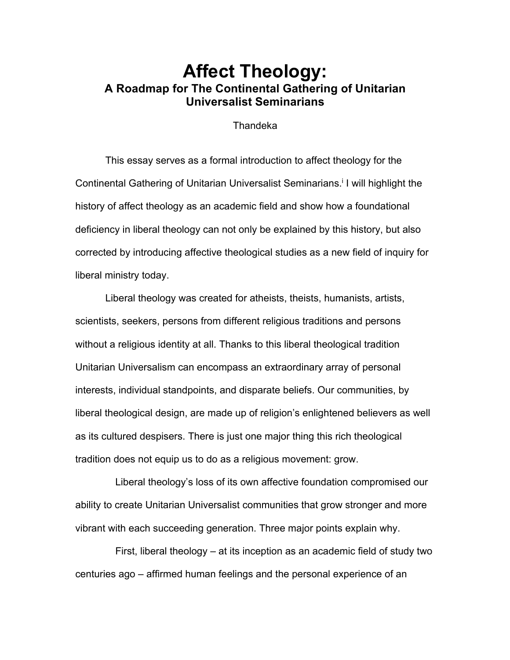# **Affect Theology: A Roadmap for The Continental Gathering of Unitarian Universalist Seminarians**

#### Thandeka

This essay serves as a formal introduction to affect theology for the Continental Gathering of Unitarian Universalist Seminarians. <sup>i</sup> I will highlight the history of affect theology as an academic field and show how a foundational deficiency in liberal theology can not only be explained by this history, but also corrected by introducing affective theological studies as a new field of inquiry for liberal ministry today.

Liberal theology was created for atheists, theists, humanists, artists, scientists, seekers, persons from different religious traditions and persons without a religious identity at all. Thanks to this liberal theological tradition Unitarian Universalism can encompass an extraordinary array of personal interests, individual standpoints, and disparate beliefs. Our communities, by liberal theological design, are made up of religion's enlightened believers as well as its cultured despisers. There is just one major thing this rich theological tradition does not equip us to do as a religious movement: grow.

Liberal theology's loss of its own affective foundation compromised our ability to create Unitarian Universalist communities that grow stronger and more vibrant with each succeeding generation. Three major points explain why.

First, liberal theology – at its inception as an academic field of study two centuries ago – affirmed human feelings and the personal experience of an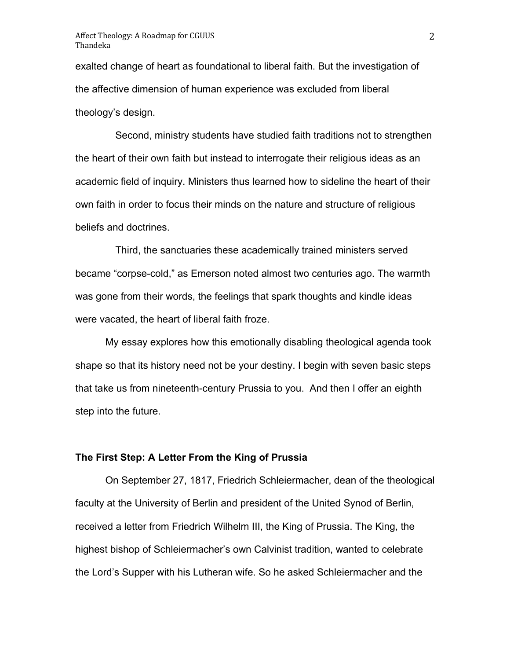exalted change of heart as foundational to liberal faith. But the investigation of the affective dimension of human experience was excluded from liberal theology's design.

Second, ministry students have studied faith traditions not to strengthen the heart of their own faith but instead to interrogate their religious ideas as an academic field of inquiry. Ministers thus learned how to sideline the heart of their own faith in order to focus their minds on the nature and structure of religious beliefs and doctrines.

Third, the sanctuaries these academically trained ministers served became "corpse-cold," as Emerson noted almost two centuries ago. The warmth was gone from their words, the feelings that spark thoughts and kindle ideas were vacated, the heart of liberal faith froze.

My essay explores how this emotionally disabling theological agenda took shape so that its history need not be your destiny. I begin with seven basic steps that take us from nineteenth-century Prussia to you. And then I offer an eighth step into the future.

#### **The First Step: A Letter From the King of Prussia**

On September 27, 1817, Friedrich Schleiermacher, dean of the theological faculty at the University of Berlin and president of the United Synod of Berlin, received a letter from Friedrich Wilhelm III, the King of Prussia. The King, the highest bishop of Schleiermacher's own Calvinist tradition, wanted to celebrate the Lord's Supper with his Lutheran wife. So he asked Schleiermacher and the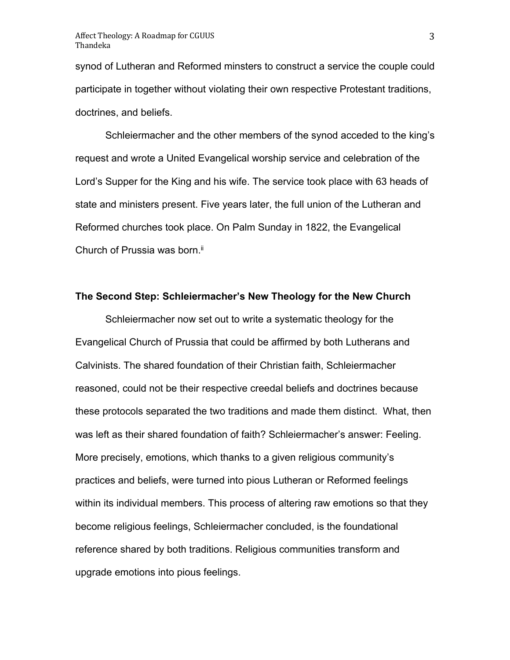synod of Lutheran and Reformed minsters to construct a service the couple could participate in together without violating their own respective Protestant traditions, doctrines, and beliefs.

Schleiermacher and the other members of the synod acceded to the king's request and wrote a United Evangelical worship service and celebration of the Lord's Supper for the King and his wife. The service took place with 63 heads of state and ministers present. Five years later, the full union of the Lutheran and Reformed churches took place. On Palm Sunday in 1822, the Evangelical Church of Prussia was born.<sup>ii</sup>

#### **The Second Step: Schleiermacher's New Theology for the New Church**

Schleiermacher now set out to write a systematic theology for the Evangelical Church of Prussia that could be affirmed by both Lutherans and Calvinists. The shared foundation of their Christian faith, Schleiermacher reasoned, could not be their respective creedal beliefs and doctrines because these protocols separated the two traditions and made them distinct. What, then was left as their shared foundation of faith? Schleiermacher's answer: Feeling. More precisely, emotions, which thanks to a given religious community's practices and beliefs, were turned into pious Lutheran or Reformed feelings within its individual members. This process of altering raw emotions so that they become religious feelings, Schleiermacher concluded, is the foundational reference shared by both traditions. Religious communities transform and upgrade emotions into pious feelings.

3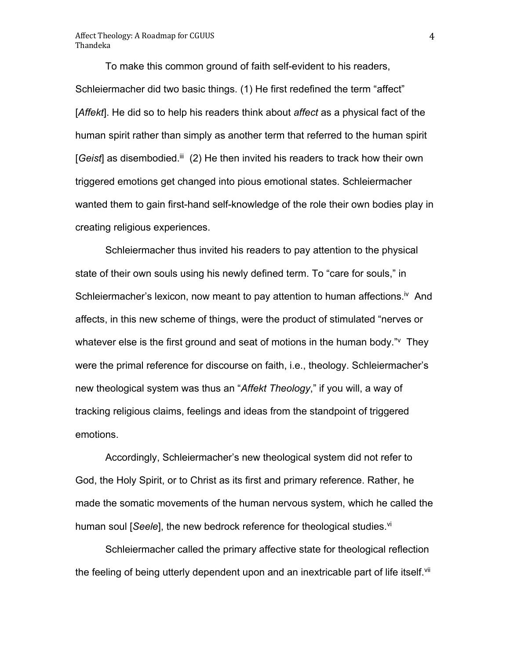To make this common ground of faith self-evident to his readers, Schleiermacher did two basic things. (1) He first redefined the term "affect" [*Affekt*]. He did so to help his readers think about *affect* as a physical fact of the human spirit rather than simply as another term that referred to the human spirit [Geist] as disembodied.<sup>iii</sup> (2) He then invited his readers to track how their own triggered emotions get changed into pious emotional states. Schleiermacher wanted them to gain first-hand self-knowledge of the role their own bodies play in creating religious experiences.

Schleiermacher thus invited his readers to pay attention to the physical state of their own souls using his newly defined term. To "care for souls," in Schleiermacher's lexicon, now meant to pay attention to human affections.<sup>iv</sup> And affects, in this new scheme of things, were the product of stimulated "nerves or whatever else is the first ground and seat of motions in the human body." They were the primal reference for discourse on faith, i.e., theology. Schleiermacher's new theological system was thus an "*Affekt Theology*," if you will, a way of tracking religious claims, feelings and ideas from the standpoint of triggered emotions.

Accordingly, Schleiermacher's new theological system did not refer to God, the Holy Spirit, or to Christ as its first and primary reference. Rather, he made the somatic movements of the human nervous system, which he called the human soul [*Seele*], the new bedrock reference for theological studies.<sup>vi</sup>

Schleiermacher called the primary affective state for theological reflection the feeling of being utterly dependent upon and an inextricable part of life itself.<sup>vii</sup>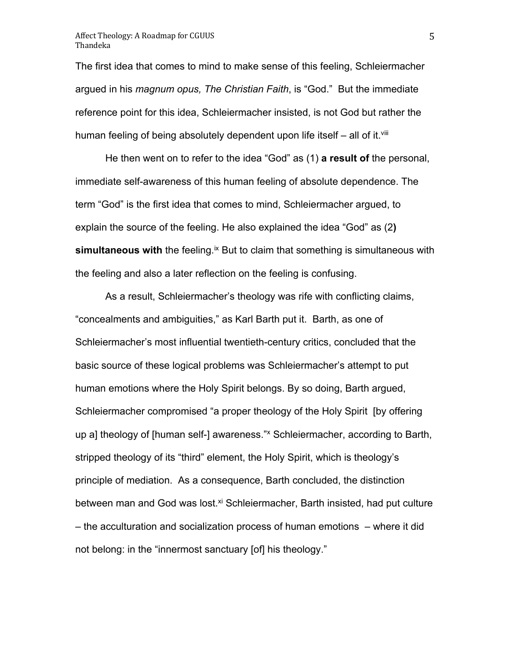The first idea that comes to mind to make sense of this feeling, Schleiermacher argued in his *magnum opus, The Christian Faith*, is "God." But the immediate reference point for this idea, Schleiermacher insisted, is not God but rather the human feeling of being absolutely dependent upon life itself  $-$  all of it.<sup>viii</sup>

He then went on to refer to the idea "God" as (1) **a result of** the personal, immediate self-awareness of this human feeling of absolute dependence. The term "God" is the first idea that comes to mind, Schleiermacher argued, to explain the source of the feeling. He also explained the idea "God" as (2**) simultaneous with** the feeling.<sup>ix</sup> But to claim that something is simultaneous with the feeling and also a later reflection on the feeling is confusing.

As a result, Schleiermacher's theology was rife with conflicting claims, "concealments and ambiguities," as Karl Barth put it. Barth, as one of Schleiermacher's most influential twentieth-century critics, concluded that the basic source of these logical problems was Schleiermacher's attempt to put human emotions where the Holy Spirit belongs. By so doing, Barth argued, Schleiermacher compromised "a proper theology of the Holy Spirit [by offering up a] theology of [human self-] awareness." Schleiermacher, according to Barth, stripped theology of its "third" element, the Holy Spirit, which is theology's principle of mediation. As a consequence, Barth concluded, the distinction between man and God was lost.<sup>xi</sup> Schleiermacher, Barth insisted, had put culture – the acculturation and socialization process of human emotions – where it did not belong: in the "innermost sanctuary [of] his theology."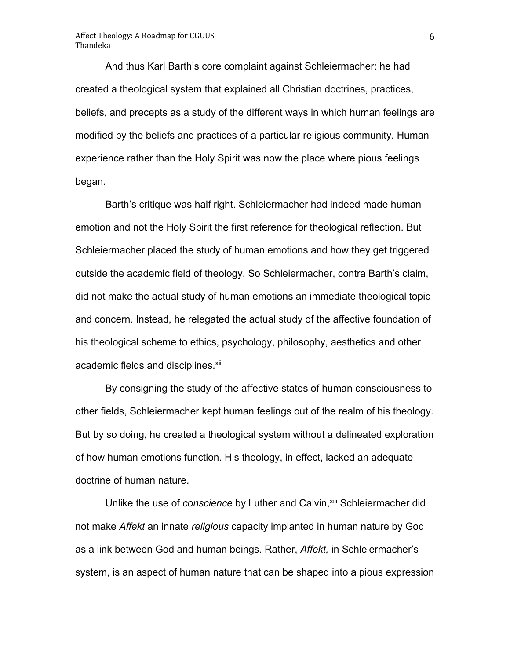And thus Karl Barth's core complaint against Schleiermacher: he had created a theological system that explained all Christian doctrines, practices, beliefs, and precepts as a study of the different ways in which human feelings are modified by the beliefs and practices of a particular religious community. Human experience rather than the Holy Spirit was now the place where pious feelings began.

Barth's critique was half right. Schleiermacher had indeed made human emotion and not the Holy Spirit the first reference for theological reflection. But Schleiermacher placed the study of human emotions and how they get triggered outside the academic field of theology. So Schleiermacher, contra Barth's claim, did not make the actual study of human emotions an immediate theological topic and concern. Instead, he relegated the actual study of the affective foundation of his theological scheme to ethics, psychology, philosophy, aesthetics and other academic fields and disciplines.<sup>xii</sup>

By consigning the study of the affective states of human consciousness to other fields, Schleiermacher kept human feelings out of the realm of his theology. But by so doing, he created a theological system without a delineated exploration of how human emotions function. His theology, in effect, lacked an adequate doctrine of human nature.

Unlike the use of *conscience* by Luther and Calvin, xill Schleiermacher did not make *Affekt* an innate *religious* capacity implanted in human nature by God as a link between God and human beings. Rather, *Affekt,* in Schleiermacher's system, is an aspect of human nature that can be shaped into a pious expression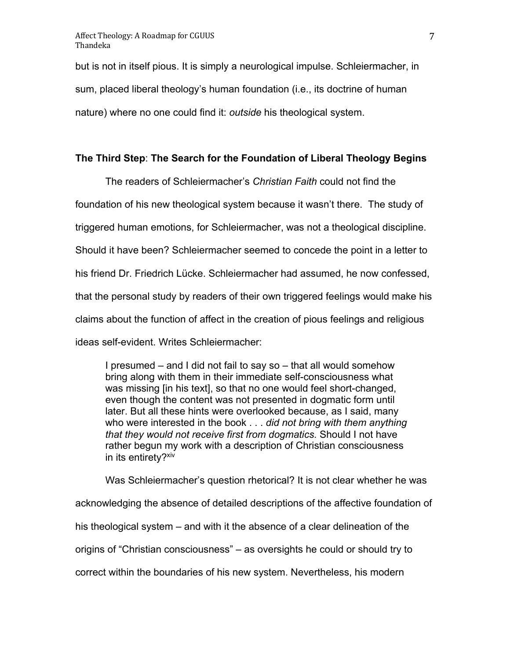but is not in itself pious. It is simply a neurological impulse. Schleiermacher, in sum, placed liberal theology's human foundation (i.e., its doctrine of human nature) where no one could find it: *outside* his theological system.

#### **The Third Step**: **The Search for the Foundation of Liberal Theology Begins**

The readers of Schleiermacher's *Christian Faith* could not find the foundation of his new theological system because it wasn't there. The study of triggered human emotions, for Schleiermacher, was not a theological discipline. Should it have been? Schleiermacher seemed to concede the point in a letter to his friend Dr. Friedrich Lücke. Schleiermacher had assumed, he now confessed, that the personal study by readers of their own triggered feelings would make his claims about the function of affect in the creation of pious feelings and religious ideas self-evident. Writes Schleiermacher:

I presumed – and I did not fail to say so – that all would somehow bring along with them in their immediate self-consciousness what was missing [in his text], so that no one would feel short-changed, even though the content was not presented in dogmatic form until later. But all these hints were overlooked because, as I said, many who were interested in the book . . . *did not bring with them anything that they would not receive first from dogmatics.* Should I not have rather begun my work with a description of Christian consciousness in its entirety?<sup>xiv</sup>

Was Schleiermacher's question rhetorical? It is not clear whether he was acknowledging the absence of detailed descriptions of the affective foundation of his theological system – and with it the absence of a clear delineation of the origins of "Christian consciousness" – as oversights he could or should try to correct within the boundaries of his new system. Nevertheless, his modern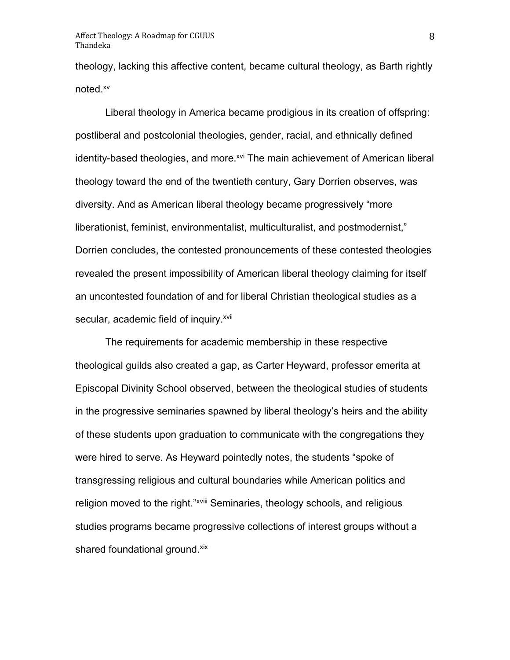theology, lacking this affective content, became cultural theology, as Barth rightly noted.xv

Liberal theology in America became prodigious in its creation of offspring: postliberal and postcolonial theologies, gender, racial, and ethnically defined identity-based theologies, and more.<sup>xvi</sup> The main achievement of American liberal theology toward the end of the twentieth century, Gary Dorrien observes, was diversity. And as American liberal theology became progressively "more liberationist, feminist, environmentalist, multiculturalist, and postmodernist," Dorrien concludes, the contested pronouncements of these contested theologies revealed the present impossibility of American liberal theology claiming for itself an uncontested foundation of and for liberal Christian theological studies as a secular, academic field of inquiry.<sup>xvii</sup>

The requirements for academic membership in these respective theological guilds also created a gap, as Carter Heyward, professor emerita at Episcopal Divinity School observed, between the theological studies of students in the progressive seminaries spawned by liberal theology's heirs and the ability of these students upon graduation to communicate with the congregations they were hired to serve. As Heyward pointedly notes, the students "spoke of transgressing religious and cultural boundaries while American politics and religion moved to the right."<sup>xviii</sup> Seminaries, theology schools, and religious studies programs became progressive collections of interest groups without a shared foundational ground.<sup>xix</sup>

8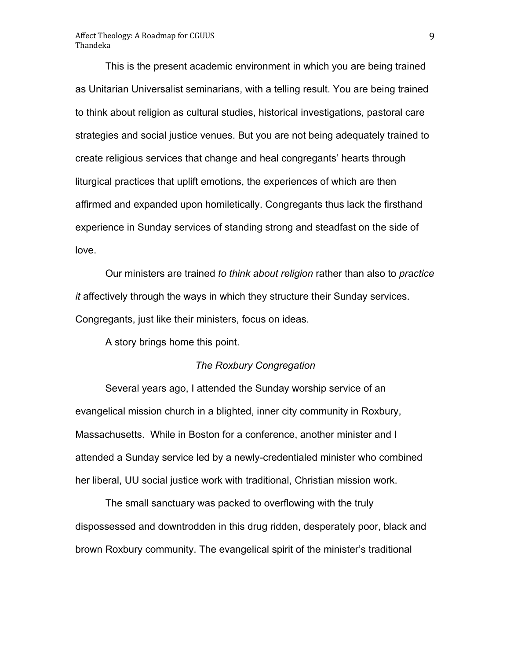This is the present academic environment in which you are being trained as Unitarian Universalist seminarians, with a telling result. You are being trained to think about religion as cultural studies, historical investigations, pastoral care strategies and social justice venues. But you are not being adequately trained to create religious services that change and heal congregants' hearts through liturgical practices that uplift emotions, the experiences of which are then affirmed and expanded upon homiletically. Congregants thus lack the firsthand experience in Sunday services of standing strong and steadfast on the side of love.

Our ministers are trained *to think about religion* rather than also to *practice it* affectively through the ways in which they structure their Sunday services. Congregants, just like their ministers, focus on ideas.

A story brings home this point.

#### *The Roxbury Congregation*

Several years ago, I attended the Sunday worship service of an evangelical mission church in a blighted, inner city community in Roxbury, Massachusetts. While in Boston for a conference, another minister and I attended a Sunday service led by a newly-credentialed minister who combined her liberal, UU social justice work with traditional, Christian mission work.

The small sanctuary was packed to overflowing with the truly dispossessed and downtrodden in this drug ridden, desperately poor, black and brown Roxbury community. The evangelical spirit of the minister's traditional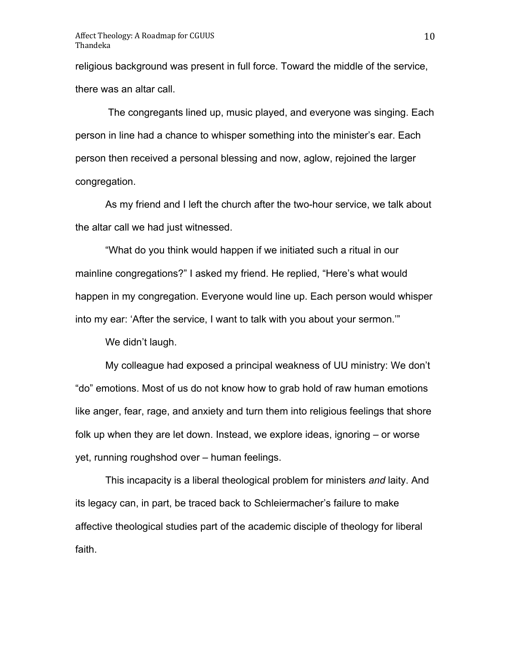religious background was present in full force. Toward the middle of the service, there was an altar call.

The congregants lined up, music played, and everyone was singing. Each person in line had a chance to whisper something into the minister's ear. Each person then received a personal blessing and now, aglow, rejoined the larger congregation.

As my friend and I left the church after the two-hour service, we talk about the altar call we had just witnessed.

"What do you think would happen if we initiated such a ritual in our mainline congregations?" I asked my friend. He replied, "Here's what would happen in my congregation. Everyone would line up. Each person would whisper into my ear: 'After the service, I want to talk with you about your sermon.'"

We didn't laugh.

My colleague had exposed a principal weakness of UU ministry: We don't "do" emotions. Most of us do not know how to grab hold of raw human emotions like anger, fear, rage, and anxiety and turn them into religious feelings that shore folk up when they are let down. Instead, we explore ideas, ignoring – or worse yet, running roughshod over – human feelings.

This incapacity is a liberal theological problem for ministers *and* laity. And its legacy can, in part, be traced back to Schleiermacher's failure to make affective theological studies part of the academic disciple of theology for liberal faith.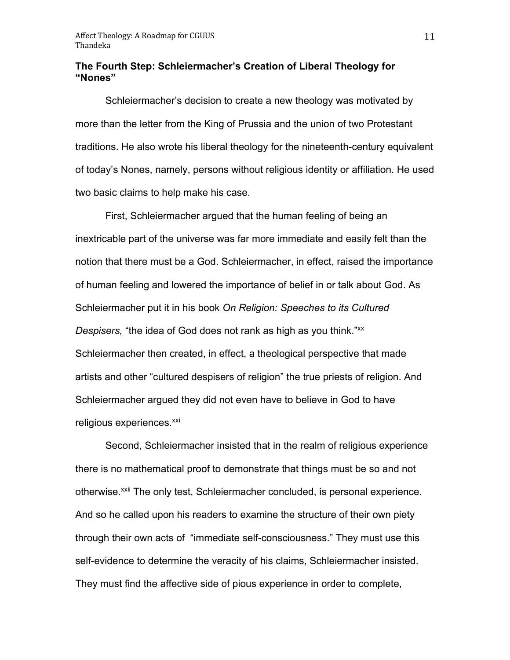### **The Fourth Step: Schleiermacher's Creation of Liberal Theology for "Nones"**

Schleiermacher's decision to create a new theology was motivated by more than the letter from the King of Prussia and the union of two Protestant traditions. He also wrote his liberal theology for the nineteenth-century equivalent of today's Nones, namely, persons without religious identity or affiliation. He used two basic claims to help make his case.

First, Schleiermacher argued that the human feeling of being an inextricable part of the universe was far more immediate and easily felt than the notion that there must be a God. Schleiermacher, in effect, raised the importance of human feeling and lowered the importance of belief in or talk about God. As Schleiermacher put it in his book *On Religion: Speeches to its Cultured Despisers,* "the idea of God does not rank as high as you think."xx Schleiermacher then created, in effect, a theological perspective that made artists and other "cultured despisers of religion" the true priests of religion. And Schleiermacher argued they did not even have to believe in God to have religious experiences.<sup>xxi</sup>

Second, Schleiermacher insisted that in the realm of religious experience there is no mathematical proof to demonstrate that things must be so and not otherwise.<sup>xxii</sup> The only test, Schleiermacher concluded, is personal experience. And so he called upon his readers to examine the structure of their own piety through their own acts of "immediate self-consciousness." They must use this self-evidence to determine the veracity of his claims, Schleiermacher insisted. They must find the affective side of pious experience in order to complete,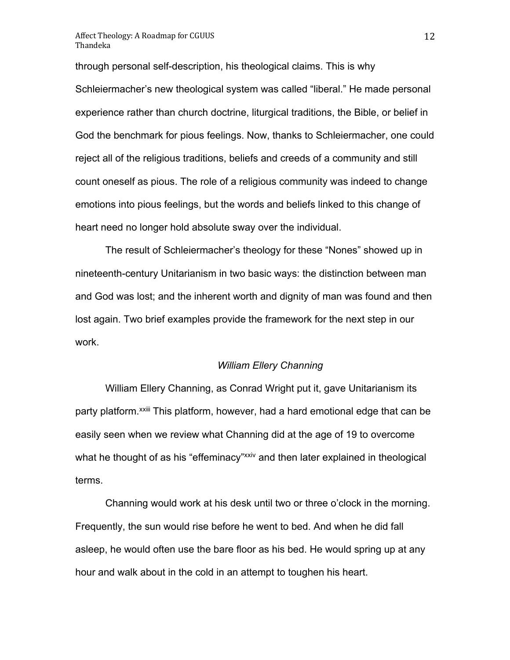through personal self-description, his theological claims. This is why Schleiermacher's new theological system was called "liberal." He made personal experience rather than church doctrine, liturgical traditions, the Bible, or belief in God the benchmark for pious feelings. Now, thanks to Schleiermacher, one could reject all of the religious traditions, beliefs and creeds of a community and still count oneself as pious. The role of a religious community was indeed to change emotions into pious feelings, but the words and beliefs linked to this change of heart need no longer hold absolute sway over the individual.

The result of Schleiermacher's theology for these "Nones" showed up in nineteenth-century Unitarianism in two basic ways: the distinction between man and God was lost; and the inherent worth and dignity of man was found and then lost again. Two brief examples provide the framework for the next step in our work.

#### *William Ellery Channing*

William Ellery Channing, as Conrad Wright put it, gave Unitarianism its party platform.<sup>xxiii</sup> This platform, however, had a hard emotional edge that can be easily seen when we review what Channing did at the age of 19 to overcome what he thought of as his "effeminacy"xxiv and then later explained in theological terms.

Channing would work at his desk until two or three o'clock in the morning. Frequently, the sun would rise before he went to bed. And when he did fall asleep, he would often use the bare floor as his bed. He would spring up at any hour and walk about in the cold in an attempt to toughen his heart.

12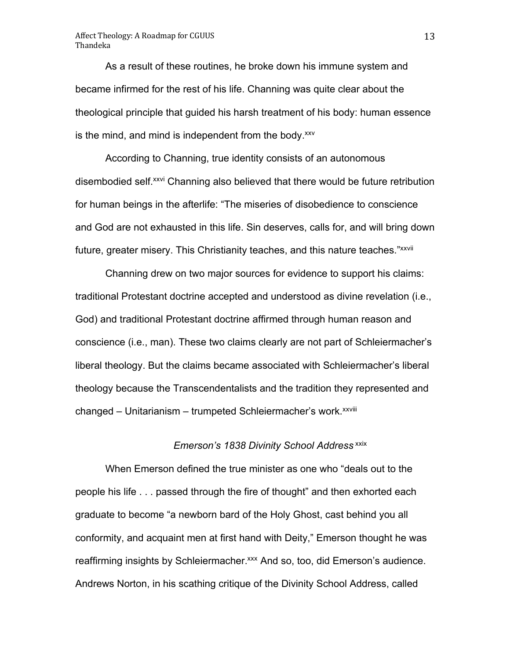As a result of these routines, he broke down his immune system and became infirmed for the rest of his life. Channing was quite clear about the theological principle that guided his harsh treatment of his body: human essence is the mind, and mind is independent from the body.<sup>xxv</sup>

According to Channing, true identity consists of an autonomous disembodied self.<sup>xxvi</sup> Channing also believed that there would be future retribution for human beings in the afterlife: "The miseries of disobedience to conscience and God are not exhausted in this life. Sin deserves, calls for, and will bring down future, greater misery. This Christianity teaches, and this nature teaches."*xxvii* 

Channing drew on two major sources for evidence to support his claims: traditional Protestant doctrine accepted and understood as divine revelation (i.e., God) and traditional Protestant doctrine affirmed through human reason and conscience (i.e., man). These two claims clearly are not part of Schleiermacher's liberal theology. But the claims became associated with Schleiermacher's liberal theology because the Transcendentalists and the tradition they represented and changed – Unitarianism – trumpeted Schleiermacher's work.<sup>xxviii</sup>

### *Emerson's 1838 Divinity School Address* xxix

When Emerson defined the true minister as one who "deals out to the people his life . . . passed through the fire of thought" and then exhorted each graduate to become "a newborn bard of the Holy Ghost, cast behind you all conformity, and acquaint men at first hand with Deity," Emerson thought he was reaffirming insights by Schleiermacher.<sup>xxx</sup> And so, too, did Emerson's audience. Andrews Norton, in his scathing critique of the Divinity School Address, called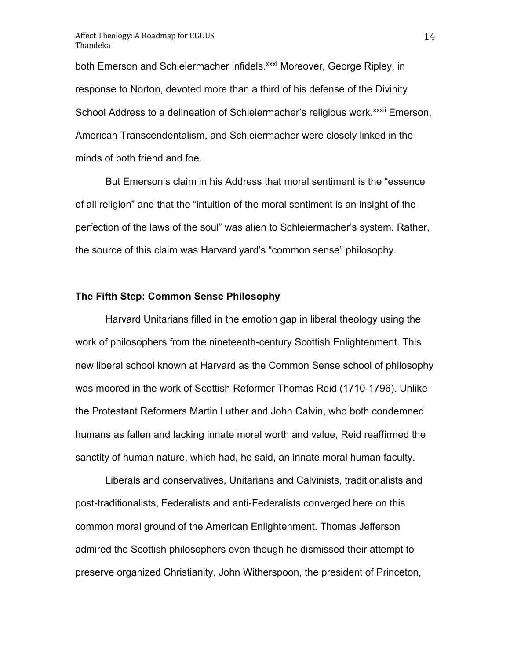both Emerson and Schleiermacher infidels.<sup>xxxi</sup> Moreover, George Ripley, in response to Norton, devoted more than a third of his defense of the Divinity School Address to a delineation of Schleiermacher's religious work.<sup>xxxii</sup> Emerson, American Transcendentalism, and Schleiermacher were closely linked in the minds of both friend and foe.

But Emerson's claim in his Address that moral sentiment is the "essence of all religion" and that the "intuition of the moral sentiment is an insight of the perfection of the laws of the soul" was alien to Schleiermacher's system. Rather, the source of this claim was Harvard yard's "common sense" philosophy.

#### **The Fifth Step: Common Sense Philosophy**

Harvard Unitarians filled in the emotion gap in liberal theology using the work of philosophers from the nineteenth-century Scottish Enlightenment. This new liberal school known at Harvard as the Common Sense school of philosophy was moored in the work of Scottish Reformer Thomas Reid (1710-1796). Unlike the Protestant Reformers Martin Luther and John Calvin, who both condemned humans as fallen and lacking innate moral worth and value, Reid reaffirmed the sanctity of human nature, which had, he said, an innate moral human faculty.

Liberals and conservatives, Unitarians and Calvinists, traditionalists and post-traditionalists, Federalists and anti-Federalists converged here on this common moral ground of the American Enlightenment. Thomas Jefferson admired the Scottish philosophers even though he dismissed their attempt to preserve organized Christianity. John Witherspoon, the president of Princeton,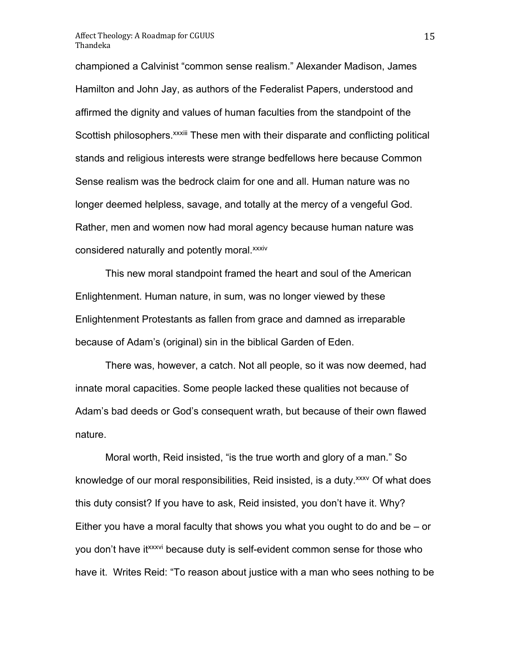championed a Calvinist "common sense realism." Alexander Madison, James Hamilton and John Jay, as authors of the Federalist Papers, understood and affirmed the dignity and values of human faculties from the standpoint of the Scottish philosophers.<sup>xxxiii</sup> These men with their disparate and conflicting political stands and religious interests were strange bedfellows here because Common Sense realism was the bedrock claim for one and all. Human nature was no longer deemed helpless, savage, and totally at the mercy of a vengeful God. Rather, men and women now had moral agency because human nature was considered naturally and potently moral. xxxiv

This new moral standpoint framed the heart and soul of the American Enlightenment. Human nature, in sum, was no longer viewed by these Enlightenment Protestants as fallen from grace and damned as irreparable because of Adam's (original) sin in the biblical Garden of Eden.

There was, however, a catch. Not all people, so it was now deemed, had innate moral capacities. Some people lacked these qualities not because of Adam's bad deeds or God's consequent wrath, but because of their own flawed nature.

Moral worth, Reid insisted, "is the true worth and glory of a man." So knowledge of our moral responsibilities, Reid insisted, is a duty. *xxxv* Of what does this duty consist? If you have to ask, Reid insisted, you don't have it. Why? Either you have a moral faculty that shows you what you ought to do and be – or you don't have it *xxxvi* because duty is self-evident common sense for those who have it. Writes Reid: "To reason about justice with a man who sees nothing to be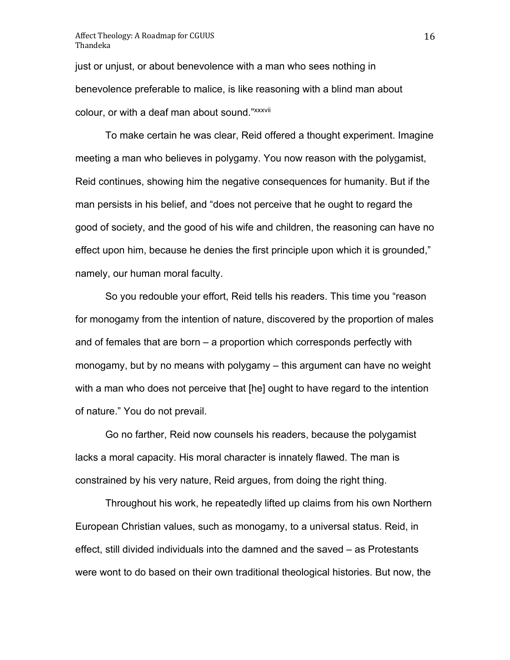just or unjust, or about benevolence with a man who sees nothing in benevolence preferable to malice, is like reasoning with a blind man about colour, or with a deaf man about sound."xxxvii

To make certain he was clear, Reid offered a thought experiment. Imagine meeting a man who believes in polygamy. You now reason with the polygamist, Reid continues, showing him the negative consequences for humanity. But if the man persists in his belief, and "does not perceive that he ought to regard the good of society, and the good of his wife and children, the reasoning can have no effect upon him, because he denies the first principle upon which it is grounded," namely, our human moral faculty.

So you redouble your effort, Reid tells his readers. This time you "reason for monogamy from the intention of nature, discovered by the proportion of males and of females that are born – a proportion which corresponds perfectly with monogamy, but by no means with polygamy – this argument can have no weight with a man who does not perceive that [he] ought to have regard to the intention of nature." You do not prevail.

Go no farther, Reid now counsels his readers, because the polygamist lacks a moral capacity. His moral character is innately flawed. The man is constrained by his very nature, Reid argues, from doing the right thing.

Throughout his work, he repeatedly lifted up claims from his own Northern European Christian values, such as monogamy, to a universal status. Reid, in effect, still divided individuals into the damned and the saved – as Protestants were wont to do based on their own traditional theological histories. But now, the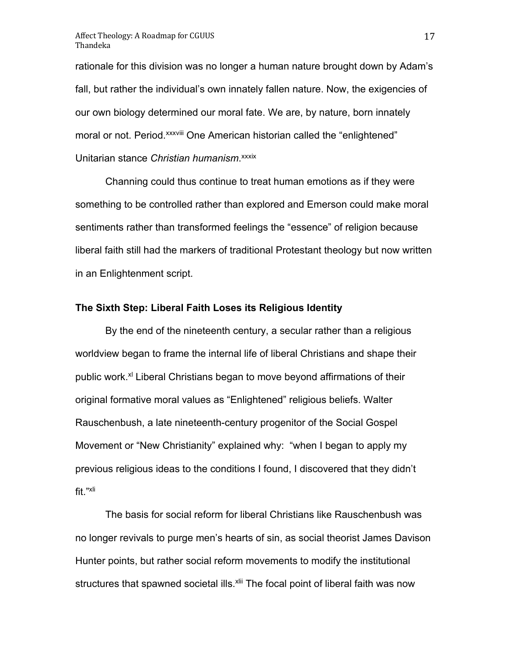rationale for this division was no longer a human nature brought down by Adam's fall, but rather the individual's own innately fallen nature. Now, the exigencies of our own biology determined our moral fate. We are, by nature, born innately moral or not. Period.<sup>xxxviii</sup> One American historian called the "enlightened" Unitarian stance *Christian humanism*. xxxix

Channing could thus continue to treat human emotions as if they were something to be controlled rather than explored and Emerson could make moral sentiments rather than transformed feelings the "essence" of religion because liberal faith still had the markers of traditional Protestant theology but now written in an Enlightenment script.

#### **The Sixth Step: Liberal Faith Loses its Religious Identity**

By the end of the nineteenth century, a secular rather than a religious worldview began to frame the internal life of liberal Christians and shape their public work.<sup>xl</sup> Liberal Christians began to move beyond affirmations of their original formative moral values as "Enlightened" religious beliefs. Walter Rauschenbush, a late nineteenth-century progenitor of the Social Gospel Movement or "New Christianity" explained why: "when I began to apply my previous religious ideas to the conditions I found, I discovered that they didn't fit."xli

The basis for social reform for liberal Christians like Rauschenbush was no longer revivals to purge men's hearts of sin, as social theorist James Davison Hunter points, but rather social reform movements to modify the institutional structures that spawned societal ills.<sup>xlii</sup> The focal point of liberal faith was now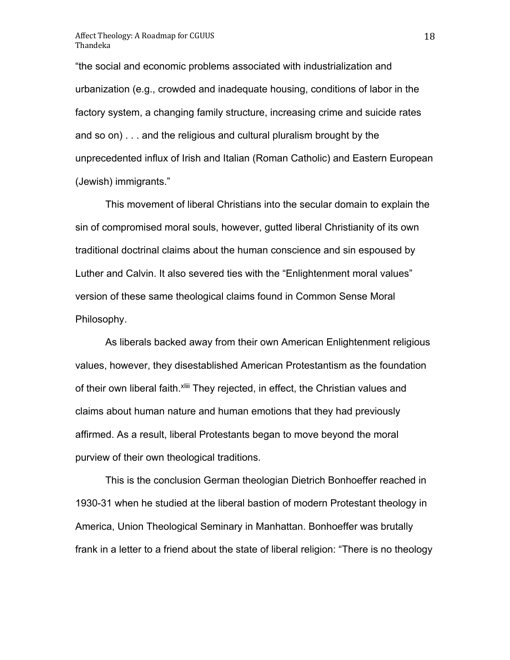"the social and economic problems associated with industrialization and urbanization (e.g., crowded and inadequate housing, conditions of labor in the factory system, a changing family structure, increasing crime and suicide rates and so on) . . . and the religious and cultural pluralism brought by the unprecedented influx of Irish and Italian (Roman Catholic) and Eastern European (Jewish) immigrants."

This movement of liberal Christians into the secular domain to explain the sin of compromised moral souls, however, gutted liberal Christianity of its own traditional doctrinal claims about the human conscience and sin espoused by Luther and Calvin. It also severed ties with the "Enlightenment moral values" version of these same theological claims found in Common Sense Moral Philosophy.

As liberals backed away from their own American Enlightenment religious values, however, they disestablished American Protestantism as the foundation of their own liberal faith. Xliii They rejected, in effect, the Christian values and claims about human nature and human emotions that they had previously affirmed. As a result, liberal Protestants began to move beyond the moral purview of their own theological traditions.

This is the conclusion German theologian Dietrich Bonhoeffer reached in 1930-31 when he studied at the liberal bastion of modern Protestant theology in America, Union Theological Seminary in Manhattan. Bonhoeffer was brutally frank in a letter to a friend about the state of liberal religion: "There is no theology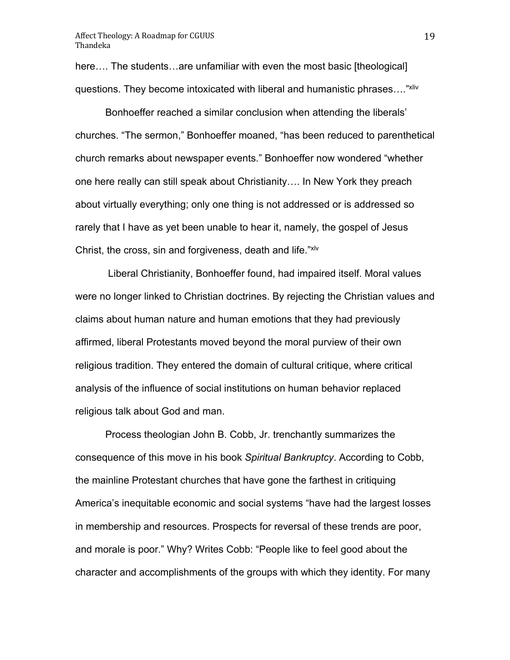here.... The students...are unfamiliar with even the most basic [theological] questions. They become intoxicated with liberal and humanistic phrases…."xliv

Bonhoeffer reached a similar conclusion when attending the liberals' churches. "The sermon," Bonhoeffer moaned, "has been reduced to parenthetical church remarks about newspaper events." Bonhoeffer now wondered "whether one here really can still speak about Christianity…. In New York they preach about virtually everything; only one thing is not addressed or is addressed so rarely that I have as yet been unable to hear it, namely, the gospel of Jesus Christ, the cross, sin and forgiveness, death and life."xlv

Liberal Christianity, Bonhoeffer found, had impaired itself. Moral values were no longer linked to Christian doctrines. By rejecting the Christian values and claims about human nature and human emotions that they had previously affirmed, liberal Protestants moved beyond the moral purview of their own religious tradition. They entered the domain of cultural critique, where critical analysis of the influence of social institutions on human behavior replaced religious talk about God and man.

Process theologian John B. Cobb, Jr. trenchantly summarizes the consequence of this move in his book *Spiritual Bankruptcy*. According to Cobb, the mainline Protestant churches that have gone the farthest in critiquing America's inequitable economic and social systems "have had the largest losses in membership and resources. Prospects for reversal of these trends are poor, and morale is poor." Why? Writes Cobb: "People like to feel good about the character and accomplishments of the groups with which they identity. For many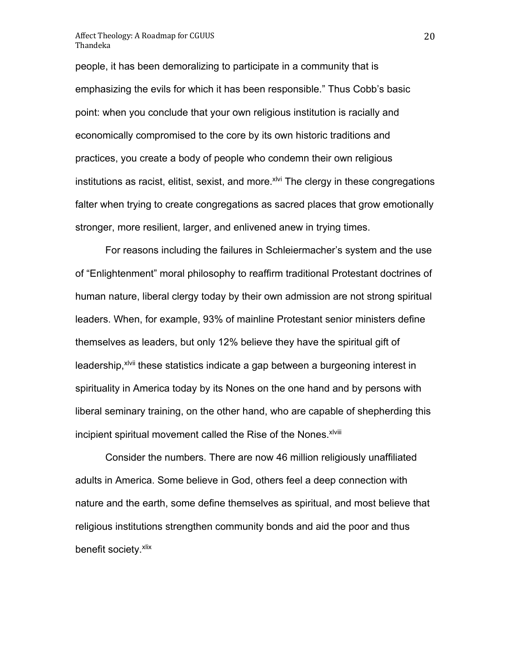people, it has been demoralizing to participate in a community that is emphasizing the evils for which it has been responsible." Thus Cobb's basic point: when you conclude that your own religious institution is racially and economically compromised to the core by its own historic traditions and practices, you create a body of people who condemn their own religious institutions as racist, elitist, sexist, and more.<sup>xlvi</sup> The clergy in these congregations falter when trying to create congregations as sacred places that grow emotionally stronger, more resilient, larger, and enlivened anew in trying times.

For reasons including the failures in Schleiermacher's system and the use of "Enlightenment" moral philosophy to reaffirm traditional Protestant doctrines of human nature, liberal clergy today by their own admission are not strong spiritual leaders. When, for example, 93% of mainline Protestant senior ministers define themselves as leaders, but only 12% believe they have the spiritual gift of leadership,<sup>xivii</sup> these statistics indicate a gap between a burgeoning interest in spirituality in America today by its Nones on the one hand and by persons with liberal seminary training, on the other hand, who are capable of shepherding this incipient spiritual movement called the Rise of the Nones. *xlviii* 

Consider the numbers. There are now 46 million religiously unaffiliated adults in America. Some believe in God, others feel a deep connection with nature and the earth, some define themselves as spiritual, and most believe that religious institutions strengthen community bonds and aid the poor and thus benefit society. xlix

20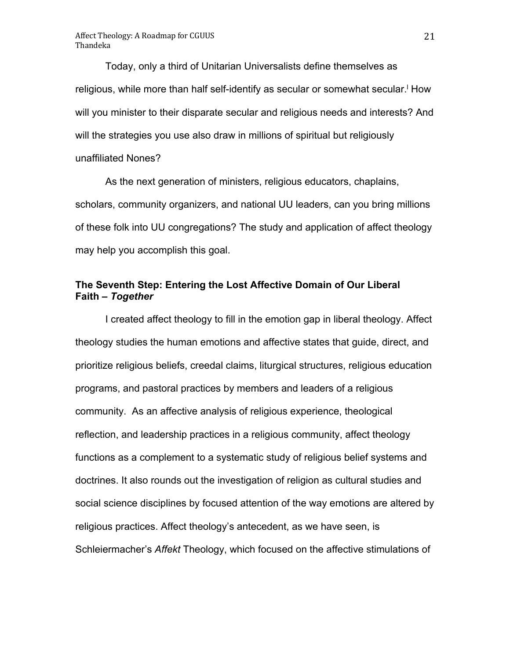Today, only a third of Unitarian Universalists define themselves as religious, while more than half self-identify as secular or somewhat secular. How will you minister to their disparate secular and religious needs and interests? And will the strategies you use also draw in millions of spiritual but religiously unaffiliated Nones?

As the next generation of ministers, religious educators, chaplains, scholars, community organizers, and national UU leaders, can you bring millions of these folk into UU congregations? The study and application of affect theology may help you accomplish this goal.

# **The Seventh Step: Entering the Lost Affective Domain of Our Liberal Faith –** *Together*

I created affect theology to fill in the emotion gap in liberal theology. Affect theology studies the human emotions and affective states that guide, direct, and prioritize religious beliefs, creedal claims, liturgical structures, religious education programs, and pastoral practices by members and leaders of a religious community. As an affective analysis of religious experience, theological reflection, and leadership practices in a religious community, affect theology functions as a complement to a systematic study of religious belief systems and doctrines. It also rounds out the investigation of religion as cultural studies and social science disciplines by focused attention of the way emotions are altered by religious practices. Affect theology's antecedent, as we have seen, is Schleiermacher's *Affekt* Theology, which focused on the affective stimulations of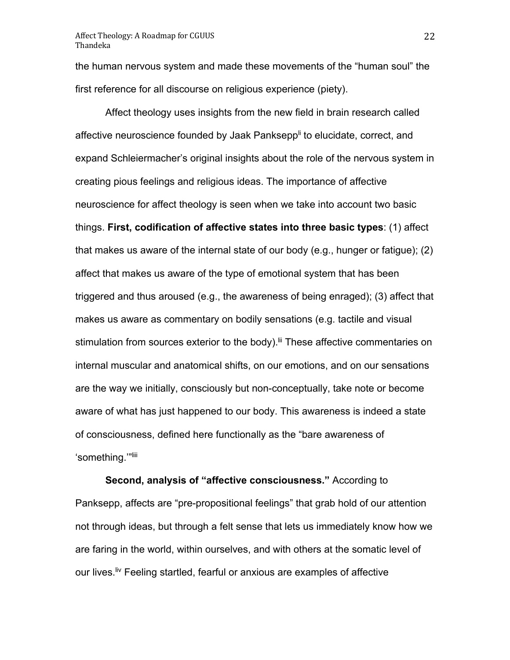the human nervous system and made these movements of the "human soul" the first reference for all discourse on religious experience (piety).

Affect theology uses insights from the new field in brain research called affective neuroscience founded by Jaak Panksepp<sup>li</sup> to elucidate, correct, and expand Schleiermacher's original insights about the role of the nervous system in creating pious feelings and religious ideas. The importance of affective neuroscience for affect theology is seen when we take into account two basic things. **First, codification of affective states into three basic types**: (1) affect that makes us aware of the internal state of our body (e.g., hunger or fatigue); (2) affect that makes us aware of the type of emotional system that has been triggered and thus aroused (e.g., the awareness of being enraged); (3) affect that makes us aware as commentary on bodily sensations (e.g. tactile and visual stimulation from sources exterior to the body).<sup>Iii</sup> These affective commentaries on internal muscular and anatomical shifts, on our emotions, and on our sensations are the way we initially, consciously but non-conceptually, take note or become aware of what has just happened to our body. This awareness is indeed a state of consciousness, defined here functionally as the "bare awareness of 'something."<sup>Iiii</sup>

**Second, analysis of "affective consciousness."** According to Panksepp, affects are "pre-propositional feelings" that grab hold of our attention not through ideas, but through a felt sense that lets us immediately know how we are faring in the world, within ourselves, and with others at the somatic level of our lives.<sup>liv</sup> Feeling startled, fearful or anxious are examples of affective

22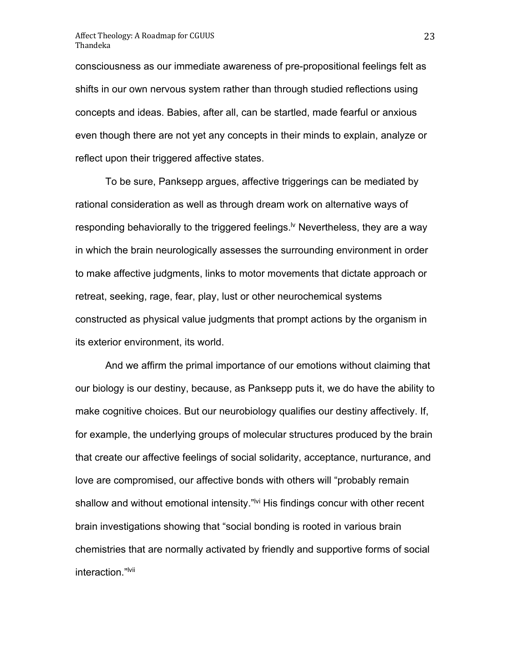consciousness as our immediate awareness of pre-propositional feelings felt as shifts in our own nervous system rather than through studied reflections using concepts and ideas. Babies, after all, can be startled, made fearful or anxious even though there are not yet any concepts in their minds to explain, analyze or reflect upon their triggered affective states.

To be sure, Panksepp argues, affective triggerings can be mediated by rational consideration as well as through dream work on alternative ways of responding behaviorally to the triggered feelings.<sup> $\nu$ </sup> Nevertheless, they are a way in which the brain neurologically assesses the surrounding environment in order to make affective judgments, links to motor movements that dictate approach or retreat, seeking, rage, fear, play, lust or other neurochemical systems constructed as physical value judgments that prompt actions by the organism in its exterior environment, its world.

And we affirm the primal importance of our emotions without claiming that our biology is our destiny, because, as Panksepp puts it, we do have the ability to make cognitive choices. But our neurobiology qualifies our destiny affectively. If, for example, the underlying groups of molecular structures produced by the brain that create our affective feelings of social solidarity, acceptance, nurturance, and love are compromised, our affective bonds with others will "probably remain shallow and without emotional intensity."<sup>Ivi</sup> His findings concur with other recent brain investigations showing that "social bonding is rooted in various brain chemistries that are normally activated by friendly and supportive forms of social interaction."<sup>Ivii</sup>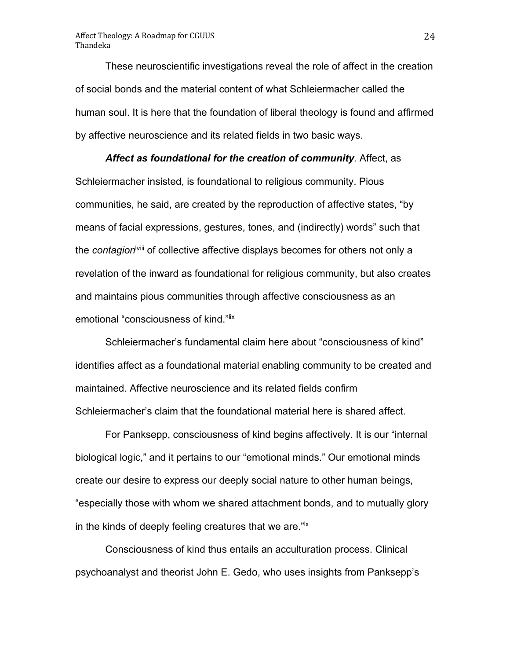These neuroscientific investigations reveal the role of affect in the creation of social bonds and the material content of what Schleiermacher called the human soul. It is here that the foundation of liberal theology is found and affirmed by affective neuroscience and its related fields in two basic ways.

# *Affect as foundational for the creation of community*. Affect, as Schleiermacher insisted, is foundational to religious community. Pious communities, he said, are created by the reproduction of affective states, "by means of facial expressions, gestures, tones, and (indirectly) words" such that the *contagion*lviii of collective affective displays becomes for others not only a revelation of the inward as foundational for religious community, but also creates and maintains pious communities through affective consciousness as an emotional "consciousness of kind."lix

Schleiermacher's fundamental claim here about "consciousness of kind" identifies affect as a foundational material enabling community to be created and maintained. Affective neuroscience and its related fields confirm Schleiermacher's claim that the foundational material here is shared affect.

For Panksepp, consciousness of kind begins affectively. It is our "internal biological logic," and it pertains to our "emotional minds." Our emotional minds create our desire to express our deeply social nature to other human beings, "especially those with whom we shared attachment bonds, and to mutually glory in the kinds of deeply feeling creatures that we are.<sup>" $\alpha$ </sup>

Consciousness of kind thus entails an acculturation process. Clinical psychoanalyst and theorist John E. Gedo, who uses insights from Panksepp's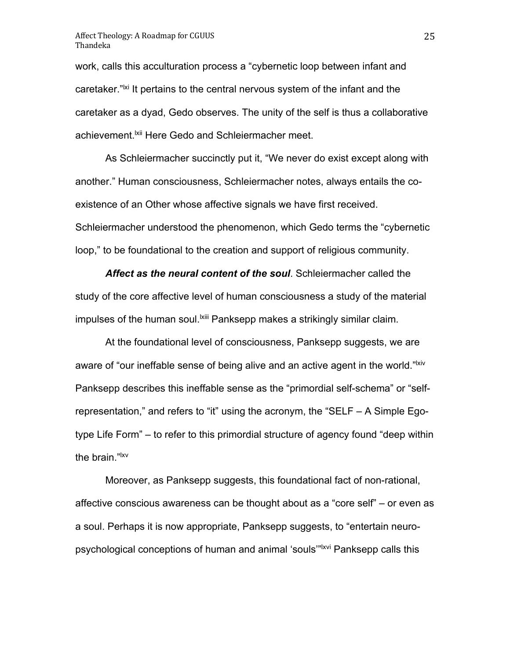work, calls this acculturation process a "cybernetic loop between infant and caretaker."<sup>|xi</sup> It pertains to the central nervous system of the infant and the caretaker as a dyad, Gedo observes. The unity of the self is thus a collaborative achievement.<sup>Ixii</sup> Here Gedo and Schleiermacher meet.

As Schleiermacher succinctly put it, "We never do exist except along with another." Human consciousness, Schleiermacher notes, always entails the coexistence of an Other whose affective signals we have first received. Schleiermacher understood the phenomenon, which Gedo terms the "cybernetic loop," to be foundational to the creation and support of religious community.

*Affect as the neural content of the soul*. Schleiermacher called the study of the core affective level of human consciousness a study of the material impulses of the human soul.<sup>Ixiii</sup> Panksepp makes a strikingly similar claim.

At the foundational level of consciousness, Panksepp suggests, we are aware of "our ineffable sense of being alive and an active agent in the world."<sup>|xiv</sup> Panksepp describes this ineffable sense as the "primordial self-schema" or "selfrepresentation," and refers to "it" using the acronym, the "SELF – A Simple Egotype Life Form" – to refer to this primordial structure of agency found "deep within the brain."lxv

Moreover, as Panksepp suggests, this foundational fact of non-rational, affective conscious awareness can be thought about as a "core self" – or even as a soul. Perhaps it is now appropriate, Panksepp suggests, to "entertain neuropsychological conceptions of human and animal 'souls'"lxvi Panksepp calls this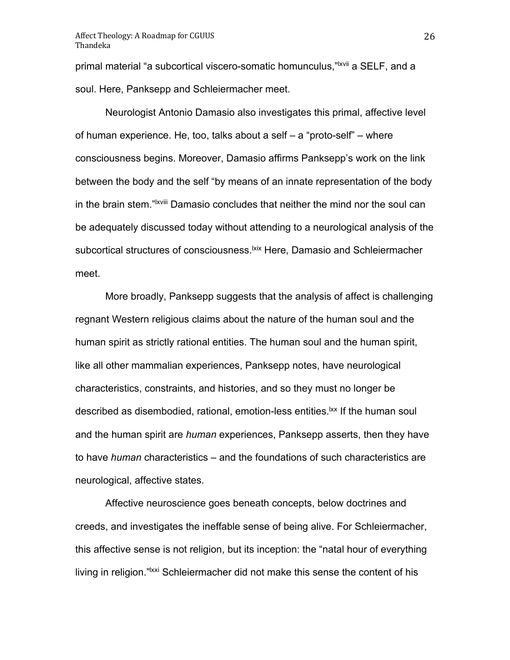primal material "a subcortical viscero-somatic homunculus,"<sup>Ixvii</sup> a SELF, and a soul. Here, Panksepp and Schleiermacher meet.

Neurologist Antonio Damasio also investigates this primal, affective level of human experience. He, too, talks about a self – a "proto-self" – where consciousness begins. Moreover, Damasio affirms Panksepp's work on the link between the body and the self "by means of an innate representation of the body in the brain stem."<sup>Ixviii</sup> Damasio concludes that neither the mind nor the soul can be adequately discussed today without attending to a neurological analysis of the subcortical structures of consciousness.<sup>|xix</sup> Here, Damasio and Schleiermacher meet.

More broadly, Panksepp suggests that the analysis of affect is challenging regnant Western religious claims about the nature of the human soul and the human spirit as strictly rational entities. The human soul and the human spirit, like all other mammalian experiences, Panksepp notes, have neurological characteristics, constraints, and histories, and so they must no longer be described as disembodied, rational, emotion-less entities.<sup>Ixx</sup> If the human soul and the human spirit are *human* experiences, Panksepp asserts, then they have to have *human* characteristics – and the foundations of such characteristics are neurological, affective states.

Affective neuroscience goes beneath concepts, below doctrines and creeds, and investigates the ineffable sense of being alive. For Schleiermacher, this affective sense is not religion, but its inception: the "natal hour of everything living in religion."<sup>Ixxi</sup> Schleiermacher did not make this sense the content of his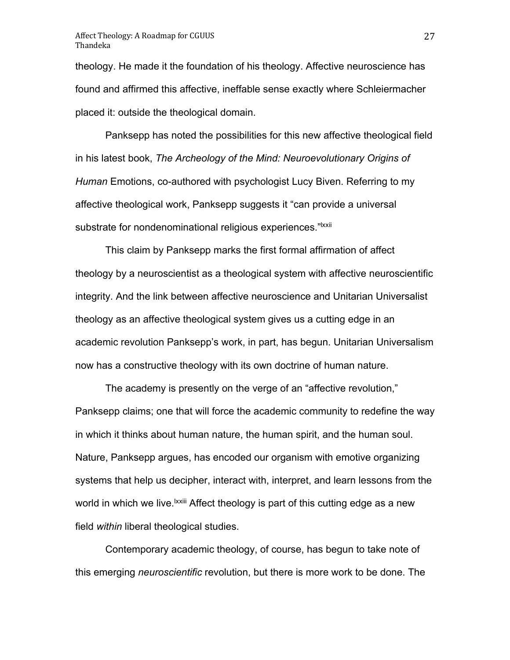theology. He made it the foundation of his theology. Affective neuroscience has found and affirmed this affective, ineffable sense exactly where Schleiermacher placed it: outside the theological domain.

Panksepp has noted the possibilities for this new affective theological field in his latest book, *The Archeology of the Mind: Neuroevolutionary Origins of Human* Emotions, co-authored with psychologist Lucy Biven. Referring to my affective theological work, Panksepp suggests it "can provide a universal substrate for nondenominational religious experiences."<sup>Ixxii</sup>

This claim by Panksepp marks the first formal affirmation of affect theology by a neuroscientist as a theological system with affective neuroscientific integrity. And the link between affective neuroscience and Unitarian Universalist theology as an affective theological system gives us a cutting edge in an academic revolution Panksepp's work, in part, has begun. Unitarian Universalism now has a constructive theology with its own doctrine of human nature.

The academy is presently on the verge of an "affective revolution," Panksepp claims; one that will force the academic community to redefine the way in which it thinks about human nature, the human spirit, and the human soul. Nature, Panksepp argues, has encoded our organism with emotive organizing systems that help us decipher, interact with, interpret, and learn lessons from the world in which we live.  $kxiii$  Affect theology is part of this cutting edge as a new field *within* liberal theological studies.

Contemporary academic theology, of course, has begun to take note of this emerging *neuroscientific* revolution, but there is more work to be done. The

27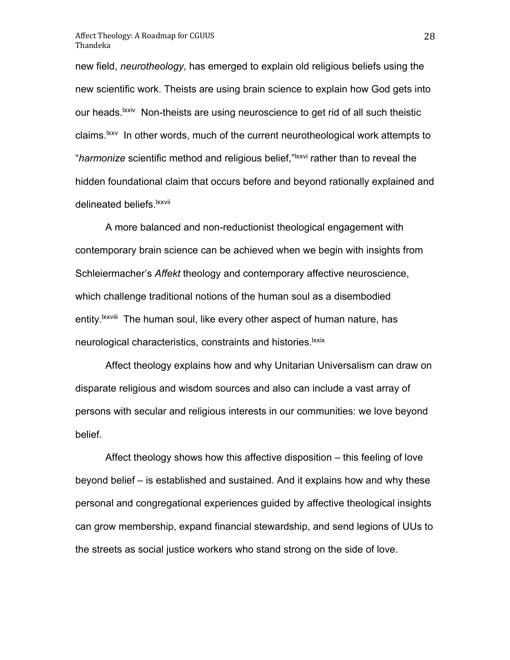new field, *neurotheology,* has emerged to explain old religious beliefs using the new scientific work. Theists are using brain science to explain how God gets into our heads.<sup>Ixxiv</sup> Non-theists are using neuroscience to get rid of all such theistic claims.<sup>1xxv</sup> In other words, much of the current neurotheological work attempts to "*harmonize* scientific method and religious belief,"lxxvi rather than to reveal the hidden foundational claim that occurs before and beyond rationally explained and delineated beliefs.<sup>Ixxvii</sup>

A more balanced and non-reductionist theological engagement with contemporary brain science can be achieved when we begin with insights from Schleiermacher's *Affekt* theology and contemporary affective neuroscience, which challenge traditional notions of the human soul as a disembodied entity.<sup>Ixxviii</sup> The human soul, like every other aspect of human nature, has neurological characteristics, constraints and histories.<sup>Ixxix</sup>

Affect theology explains how and why Unitarian Universalism can draw on disparate religious and wisdom sources and also can include a vast array of persons with secular and religious interests in our communities: we love beyond belief.

Affect theology shows how this affective disposition – this feeling of love beyond belief – is established and sustained. And it explains how and why these personal and congregational experiences guided by affective theological insights can grow membership, expand financial stewardship, and send legions of UUs to the streets as social justice workers who stand strong on the side of love.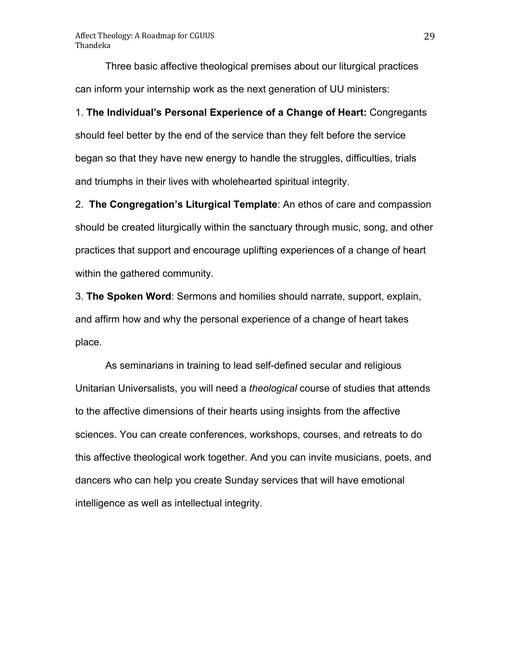Three basic affective theological premises about our liturgical practices can inform your internship work as the next generation of UU ministers:

1. **The Individual's Personal Experience of a Change of Heart:** Congregants should feel better by the end of the service than they felt before the service began so that they have new energy to handle the struggles, difficulties, trials and triumphs in their lives with wholehearted spiritual integrity.

2. **The Congregation's Liturgical Template**: An ethos of care and compassion should be created liturgically within the sanctuary through music, song, and other practices that support and encourage uplifting experiences of a change of heart within the gathered community.

3. **The Spoken Word**: Sermons and homilies should narrate, support, explain, and affirm how and why the personal experience of a change of heart takes place.

As seminarians in training to lead self-defined secular and religious Unitarian Universalists, you will need a *theological* course of studies that attends to the affective dimensions of their hearts using insights from the affective sciences. You can create conferences, workshops, courses, and retreats to do this affective theological work together. And you can invite musicians, poets, and dancers who can help you create Sunday services that will have emotional intelligence as well as intellectual integrity.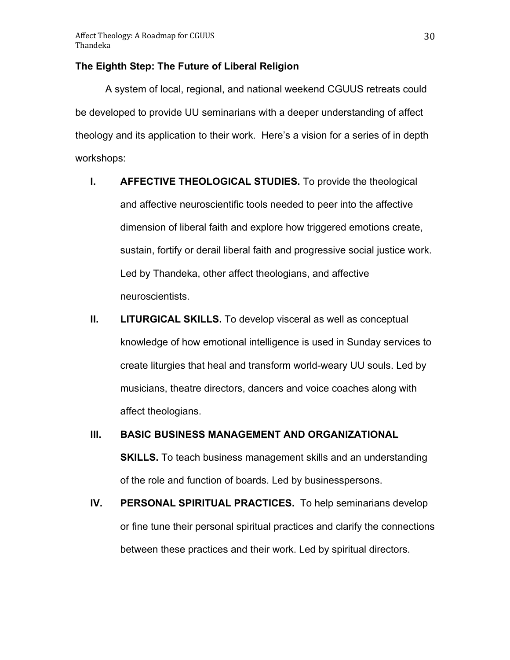## **The Eighth Step: The Future of Liberal Religion**

A system of local, regional, and national weekend CGUUS retreats could be developed to provide UU seminarians with a deeper understanding of affect theology and its application to their work. Here's a vision for a series of in depth workshops:

- **I. AFFECTIVE THEOLOGICAL STUDIES.** To provide the theological and affective neuroscientific tools needed to peer into the affective dimension of liberal faith and explore how triggered emotions create, sustain, fortify or derail liberal faith and progressive social justice work. Led by Thandeka, other affect theologians, and affective neuroscientists.
- **II. LITURGICAL SKILLS.** To develop visceral as well as conceptual knowledge of how emotional intelligence is used in Sunday services to create liturgies that heal and transform world-weary UU souls. Led by musicians, theatre directors, dancers and voice coaches along with affect theologians.
- **III. BASIC BUSINESS MANAGEMENT AND ORGANIZATIONAL SKILLS.** To teach business management skills and an understanding of the role and function of boards. Led by businesspersons.
- **IV. PERSONAL SPIRITUAL PRACTICES.** To help seminarians develop or fine tune their personal spiritual practices and clarify the connections between these practices and their work. Led by spiritual directors.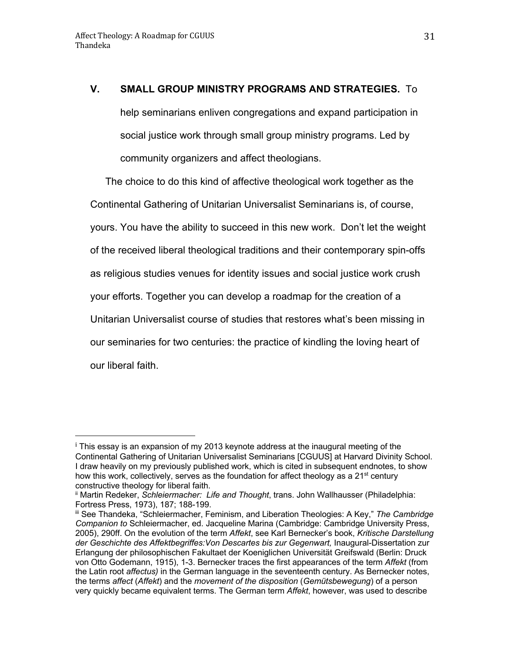# **V. SMALL GROUP MINISTRY PROGRAMS AND STRATEGIES.** To

help seminarians enliven congregations and expand participation in social justice work through small group ministry programs. Led by community organizers and affect theologians.

The choice to do this kind of affective theological work together as the Continental Gathering of Unitarian Universalist Seminarians is, of course, yours. You have the ability to succeed in this new work. Don't let the weight of the received liberal theological traditions and their contemporary spin-offs as religious studies venues for identity issues and social justice work crush your efforts. Together you can develop a roadmap for the creation of a Unitarian Universalist course of studies that restores what's been missing in our seminaries for two centuries: the practice of kindling the loving heart of our liberal faith.

<sup>&</sup>lt;sup>i</sup> This essay is an expansion of my 2013 keynote address at the inaugural meeting of the Continental Gathering of Unitarian Universalist Seminarians [CGUUS] at Harvard Divinity School. I draw heavily on my previously published work, which is cited in subsequent endnotes, to show how this work, collectively, serves as the foundation for affect theology as a  $21^{st}$  century constructive theology for liberal faith.

ii Martin Redeker, *Schleiermacher: Life and Thought*, trans. John Wallhausser (Philadelphia: Fortress Press, 1973), 187; 188-199.

iii See Thandeka, "Schleiermacher, Feminism, and Liberation Theologies: A Key," *The Cambridge Companion to* Schleiermacher, ed. Jacqueline Marina (Cambridge: Cambridge University Press, 2005), 290ff. On the evolution of the term *Affekt*, see Karl Bernecker's book, *Kritische Darstellung der Geschichte des Affektbegriffes:Von Descartes bis zur Gegenwart,* Inaugural-Dissertation zur Erlangung der philosophischen Fakultaet der Koeniglichen Universität Greifswald (Berlin: Druck von Otto Godemann, 1915), 1-3. Bernecker traces the first appearances of the term *Affekt* (from the Latin root *affectus)* in the German language in the seventeenth century. As Bernecker notes, the terms *affect* (*Affekt*) and the *movement of the disposition* (*Gemütsbewegung*) of a person very quickly became equivalent terms. The German term *Affekt*, however, was used to describe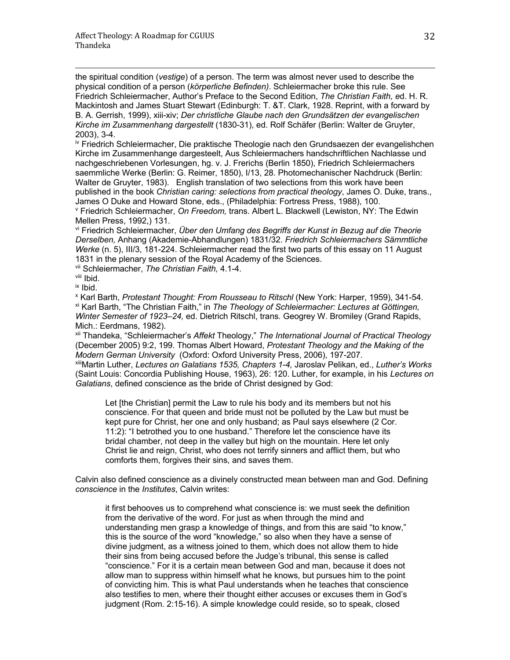<u> 1989 - Andrea San Andrea San Andrea San Andrea San Andrea San Andrea San Andrea San Andrea San Andrea San An</u> the spiritual condition (*vestige*) of a person. The term was almost never used to describe the physical condition of a person (*körperliche Befinden)*. Schleiermacher broke this rule. See Friedrich Schleiermacher, Author's Preface to the Second Edition, *The Christian Faith, e*d. H. R. Mackintosh and James Stuart Stewart (Edinburgh: T. &T. Clark, 1928. Reprint, with a forward by B. A. Gerrish, 1999), xiii-xiv; *Der christliche Glaube nach den Grundsätzen der evangelischen Kirche im Zusammenhang dargestellt* (1830-31), ed. Rolf Schäfer (Berlin: Walter de Gruyter, 2003), 3-4.

iv Friedrich Schleiermacher, Die praktische Theologie nach den Grundsaezen der evangelishchen Kirche im Zusammenhange dargesteelt, Aus Schleiermachers handschriftlichen Nachlasse und nachgeschriebenen Vorlesungen, hg. v. J. Frerichs (Berlin 1850), Friedrich Schleiermachers saemmliche Werke (Berlin: G. Reimer, 1850), I/13, 28. Photomechanischer Nachdruck (Berlin: Walter de Gruyter, 1983). English translation of two selections from this work have been published in the book *Christian caring: selections from practical theology*, James O. Duke, trans.,

<sup>v</sup> Friedrich Schleiermacher, On Freedom, trans. Albert L. Blackwell (Lewiston, NY: The Edwin Mellen Press, 1992,) 131.

vi Friedrich Schleiermacher, *Über den Umfang des Begriffs der Kunst in Bezug auf die Theorie Derselben,* Anhang (Akademie-Abhandlungen) 1831/32. *Friedrich Schleiermachers Sämmtliche Werke* (n. 5), III/3, 181-224. Schleiermacher read the first two parts of this essay on 11 August 1831 in the plenary session of the Royal Academy of the Sciences.

vii Schleiermacher, *The Christian Faith,* 4.1-4.

viii Ibid.

ix Ibid.

<sup>x</sup> Karl Barth, *Protestant Thought: From Rousseau to Ritschl* (New York: Harper, 1959), 341-54. xi Karl Barth, "The Christian Faith," in *The Theology of Schleiermacher: Lectures at Göttingen, Winter Semester of 1923–24,* ed. Dietrich Ritschl, trans. Geogrey W. Bromiley (Grand Rapids, Mich.: Eerdmans, 1982).

xii Thandeka, "Schleiermacher's *Affekt* Theology," *The International Journal of Practical Theology*  (December 2005) 9:2, 199. Thomas Albert Howard, *Protestant Theology and the Making of the Modern German University* (Oxford: Oxford University Press, 2006), 197-207.

xiiiMartin Luther, *Lectures on Galatians 1535, Chapters 1-4,* Jaroslav Pelikan, ed., *Luther's Works*  (Saint Louis: Concordia Publishing House, 1963), 26: 120. Luther, for example, in his *Lectures on Galatians*, defined conscience as the bride of Christ designed by God:

Let [the Christian] permit the Law to rule his body and its members but not his conscience. For that queen and bride must not be polluted by the Law but must be kept pure for Christ, her one and only husband; as Paul says elsewhere (2 Cor. 11:2): "I betrothed you to one husband." Therefore let the conscience have its bridal chamber, not deep in the valley but high on the mountain. Here let only Christ lie and reign, Christ, who does not terrify sinners and afflict them, but who comforts them, forgives their sins, and saves them.

Calvin also defined conscience as a divinely constructed mean between man and God. Defining *conscience* in the *Institutes*, Calvin writes:

it first behooves us to comprehend what conscience is: we must seek the definition from the derivative of the word. For just as when through the mind and understanding men grasp a knowledge of things, and from this are said "to know," this is the source of the word "knowledge," so also when they have a sense of divine judgment, as a witness joined to them, which does not allow them to hide their sins from being accused before the Judge's tribunal, this sense is called "conscience." For it is a certain mean between God and man, because it does not allow man to suppress within himself what he knows, but pursues him to the point of convicting him. This is what Paul understands when he teaches that conscience also testifies to men, where their thought either accuses or excuses them in God's judgment (Rom. 2:15-16). A simple knowledge could reside, so to speak, closed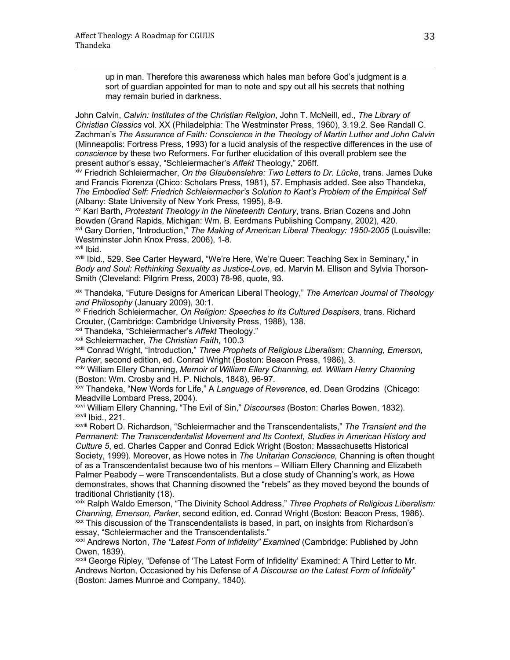up in man. Therefore this awareness which hales man before God's judgment is a sort of guardian appointed for man to note and spy out all his secrets that nothing may remain buried in darkness.

<u> 1989 - Andrea San Andrea San Andrea San Andrea San Andrea San Andrea San Andrea San Andrea San Andrea San An</u>

John Calvin, *Calvin: Institutes of the Christian Religion*, John T. McNeill, ed., *The Library of Christian Classics* vol. XX (Philadelphia: The Westminster Press, 1960), 3.19.2. See Randall C. Zachman's *The Assurance of Faith: Conscience in the Theology of Martin Luther and John Calvin* (Minneapolis: Fortress Press, 1993) for a lucid analysis of the respective differences in the use of *conscience* by these two Reformers. For further elucidation of this overall problem see the present author's essay, "Schleiermacher's *Affekt* Theology," 206ff.

xiv Friedrich Schleiermacher, *On the Glaubenslehre: Two Letters to Dr. Lücke*, trans. James Duke and Francis Fiorenza (Chico: Scholars Press, 1981), 57. Emphasis added. See also Thandeka, *The Embodied Self: Friedrich Schleiermacher's Solution to Kant's Problem of the Empirical Self*

<sup>xv</sup> Karl Barth, *Protestant Theology in the Nineteenth Century*, trans. Brian Cozens and John Bowden (Grand Rapids, Michigan: Wm. B. Eerdmans Publishing Company, 2002), 420. xvi Gary Dorrien, "Introduction," *The Making of American Liberal Theology: 1950-2005* (Louisville: Westminster John Knox Press, 2006), 1-8. xvii Ibid.

xviii Ibid., 529. See Carter Heyward, "We're Here, We're Queer: Teaching Sex in Seminary," in *Body and Soul: Rethinking Sexuality as Justice-Love*, ed. Marvin M. Ellison and Sylvia Thorson-Smith (Cleveland: Pilgrim Press, 2003) 78-96, quote, 93.

xix Thandeka, "Future Designs for American Liberal Theology," *The American Journal of Theology and Philosophy* (January 2009), 30:1.

xx Friedrich Schleiermacher, *On Religion: Speeches to Its Cultured Despisers*, trans. Richard Crouter, (Cambridge: Cambridge University Press, 1988), 138.

xxi Thandeka, "Schleiermacher's *Affekt* Theology."

xxii Schleiermacher, *The Christian Faith*, 100.3

xxiii Conrad Wright, "Introduction," *Three Prophets of Religious Liberalism: Channing, Emerson, Parker*, second edition, ed. Conrad Wright (Boston: Beacon Press, 1986), 3.

xxiv William Ellery Channing, *Memoir of William Ellery Channing, ed. William Henry Channing*  (Boston: Wm. Crosby and H. P. Nichols, 1848), 96-97.

xxv Thandeka, "New Words for Life," A *Language of Reverence*, ed. Dean Grodzins (Chicago: Meadville Lombard Press, 2004).

xxvi William Ellery Channing, "The Evil of Sin," *Discourses* (Boston: Charles Bowen, 1832). xxvii Ibid., 221.

xxviii Robert D. Richardson, "Schleiermacher and the Transcendentalists," *The Transient and the Permanent: The Transcendentalist Movement and Its Context*, *Studies in American History and Culture 5*, ed. Charles Capper and Conrad Edick Wright (Boston: Massachusetts Historical Society, 1999). Moreover, as Howe notes in *The Unitarian Conscience,* Channing is often thought of as a Transcendentalist because two of his mentors – William Ellery Channing and Elizabeth Palmer Peabody – were Transcendentalists. But a close study of Channing's work, as Howe demonstrates, shows that Channing disowned the "rebels" as they moved beyond the bounds of traditional Christianity (18).

xxix Ralph Waldo Emerson, "The Divinity School Address," *Three Prophets of Religious Liberalism: Channing, Emerson, Parker*, second edition, ed. Conrad Wright (Boston: Beacon Press, 1986). xxx This discussion of the Transcendentalists is based, in part, on insights from Richardson's essay, "Schleiermacher and the Transcendentalists."

xxxi Andrews Norton, *The "Latest Form of Infidelity" Examined* (Cambridge: Published by John Owen, 1839).

xxxii George Ripley, "Defense of 'The Latest Form of Infidelity' Examined: A Third Letter to Mr. Andrews Norton, Occasioned by his Defense of *A Discourse on the Latest Form of Infidelity"*  (Boston: James Munroe and Company, 1840).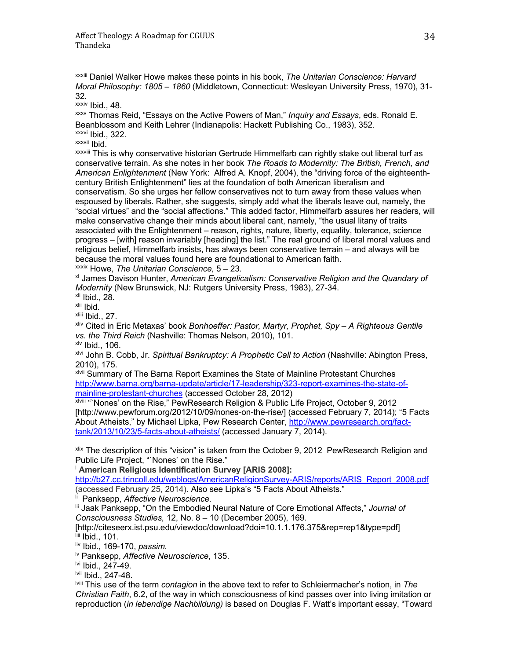xxxiii Daniel Walker Howe makes these points in his book, *The Unitarian Conscience: Harvard Moral Philosophy: 1805 – 1860* (Middletown, Connecticut: Wesleyan University Press, 1970), 31- 32.<br><sup>xxxiv</sup> Ibid., 48.

<u> 1989 - Andrea San Andrea San Andrea San Andrea San Andrea San Andrea San Andrea San Andrea San Andrea San An</u>

<sup>xxxv</sup> Thomas Reid, "Essays on the Active Powers of Man," *Inquiry and Essays*, eds. Ronald E. Beanblossom and Keith Lehrer (Indianapolis: Hackett Publishing Co., 1983), 352. xxxvi Ibid., 322.

xxxvii Ibid.

xxxviii This is why conservative historian Gertrude Himmelfarb can rightly stake out liberal turf as conservative terrain. As she notes in her book *The Roads to Modernity: The British, French, and American Enlightenment* (New York: Alfred A. Knopf, 2004), the "driving force of the eighteenthcentury British Enlightenment" lies at the foundation of both American liberalism and conservatism. So she urges her fellow conservatives not to turn away from these values when espoused by liberals. Rather, she suggests, simply add what the liberals leave out, namely, the "social virtues" and the "social affections." This added factor, Himmelfarb assures her readers, will make conservative change their minds about liberal cant, namely, "the usual litany of traits associated with the Enlightenment – reason, rights, nature, liberty, equality, tolerance, science progress – [with] reason invariably [heading] the list." The real ground of liberal moral values and religious belief, Himmelfarb insists, has always been conservative terrain – and always will be because the moral values found here are foundational to American faith.

xxxix Howe, *The Unitarian Conscience,* 5 – 23*.* 

xl James Davison Hunter, *American Evangelicalism: Conservative Religion and the Quandary of Modernity* (New Brunswick, NJ: Rutgers University Press, 1983), 27-34.

 $x$ li Ibid., 28.

xlii Ibid.

xliii Ibid., 27.

xliv Cited in Eric Metaxas' book *Bonhoeffer: Pastor, Martyr, Prophet, Spy – A Righteous Gentile vs. the Third Reich* (Nashville: Thomas Nelson, 2010), 101. xlv Ibid., 106.

xlvi John B. Cobb, Jr. *Spiritual Bankruptcy: A Prophetic Call to Action* (Nashville: Abington Press, 2010), 175.

xlvii Summary of The Barna Report Examines the State of Mainline Protestant Churches http://www.barna.org/barna-update/article/17-leadership/323-report-examines-the-state-ofmainline-protestant-churches (accessed October 28, 2012)

xlviii "`Nones' on the Rise," PewResearch Religion & Public Life Project, October 9, 2012 [http://www.pewforum.org/2012/10/09/nones-on-the-rise/] (accessed February 7, 2014); "5 Facts About Atheists," by Michael Lipka, Pew Research Center, http://www.pewresearch.org/facttank/2013/10/23/5-facts-about-atheists/ (accessed January 7, 2014).

xlix The description of this "vision" is taken from the October 9, 2012 PewResearch Religion and Public Life Project, "`Nones' on the Rise."

<sup>l</sup> **American Religious Identification Survey [ARIS 2008]:** 

http://b27.cc.trincoll.edu/weblogs/AmericanReligionSurvey-ARIS/reports/ARIS\_Report\_2008.pdf (accessed February 25, 2014). Also see Lipka's "5 Facts About Atheists."

<sup>li</sup> Panksepp, Affective Neuroscience.

<sup>Iii</sup> Jaak Panksepp, "On the Embodied Neural Nature of Core Emotional Affects," Journal of *Consciousness Studies,* 12, No. 8 – 10 (December 2005), 169.

[http://citeseerx.ist.psu.edu/viewdoc/download?doi=10.1.1.176.375&rep=rep1&type=pdf] liii Ibid., 101.

liv Ibid., 169-170, *passim.*

lv Panksepp, *Affective Neuroscience*, 135.

lvi Ibid., 247-49.

lvii Ibid., 247-48.

lviii This use of the term *contagion* in the above text to refer to Schleiermacher's notion, in *The Christian Faith*, 6.2, of the way in which consciousness of kind passes over into living imitation or reproduction (*in lebendige Nachbildung)* is based on Douglas F. Watt's important essay, "Toward